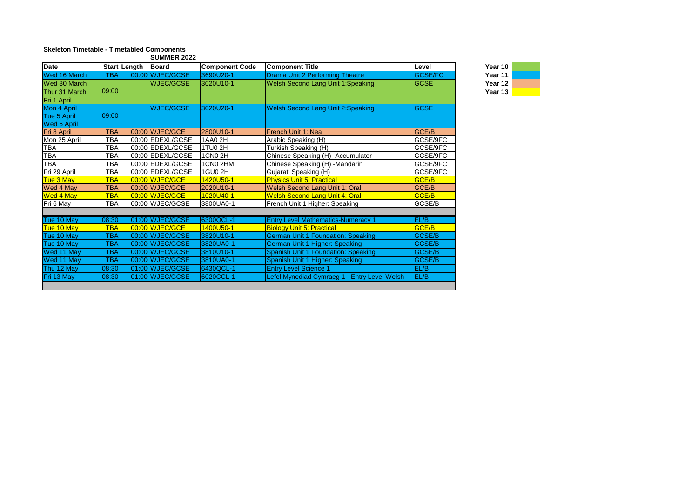## **Skeleton Timetable - Timetabled Components** SUMMER 2022

| <b>SUIVINER ZUZZ</b> |            |              |                  |                       |                                              |                |  |  |
|----------------------|------------|--------------|------------------|-----------------------|----------------------------------------------|----------------|--|--|
| Date                 |            | Start Length | Board            | <b>Component Code</b> | <b>Component Title</b>                       | Level          |  |  |
| Wed 16 March         | <b>TBA</b> |              | 00:00 WJEC/GCSE  | 3690U20-1             | <b>Drama Unit 2 Performing Theatre</b>       | <b>GCSE/FC</b> |  |  |
| Wed 30 March         |            |              | <b>WJEC/GCSE</b> | 3020U10-1             | <b>Welsh Second Lang Unit 1:Speaking</b>     | <b>GCSE</b>    |  |  |
| Thur 31 March        | 09:00      |              |                  |                       |                                              |                |  |  |
| Fri 1 April          |            |              |                  |                       |                                              |                |  |  |
| Mon 4 April          |            |              | <b>WJEC/GCSE</b> | 3020U20-1             | <b>Welsh Second Lang Unit 2:Speaking</b>     | <b>GCSE</b>    |  |  |
| Tue 5 April          | 09:00      |              |                  |                       |                                              |                |  |  |
| <b>Wed 6 April</b>   |            |              |                  |                       |                                              |                |  |  |
| Fri 8 April          | <b>TBA</b> |              | 00:00 WJEC/GCE   | 2800U10-1             | French Unit 1: Nea                           | GCE/B          |  |  |
| Mon 25 April         | <b>TBA</b> |              | 00:00 EDEXL/GCSE | 1AA0 2H               | Arabic Speaking (H)                          | GCSE/9FC       |  |  |
| <b>TBA</b>           | <b>TBA</b> |              | 00:00 EDEXL/GCSE | 1TU0 2H               | Turkish Speaking (H)                         | GCSE/9FC       |  |  |
| TBA                  | <b>TBA</b> |              | 00:00 EDEXL/GCSE | 1CN0 2H               | Chinese Speaking (H) - Accumulator           | GCSE/9FC       |  |  |
| <b>TBA</b>           | <b>TBA</b> |              | 00:00 EDEXL/GCSE | 1CN0 2HM              | Chinese Speaking (H) -Mandarin               | GCSE/9FC       |  |  |
| Fri 29 April         | <b>TBA</b> |              | 00:00 EDEXL/GCSE | 1GU0 2H               | Gujarati Speaking (H)                        | GCSE/9FC       |  |  |
| Tue 3 May            | <b>TBA</b> |              | 00:00 WJEC/GCE   | 1420U50-1             | <b>Physics Unit 5: Practical</b>             | GCE/B          |  |  |
| Wed 4 May            | <b>TBA</b> |              | 00:00 WJEC/GCE   | 2020U10-1             | Welsh Second Lang Unit 1: Oral               | GCE/B          |  |  |
| <b>Wed 4 May</b>     | <b>TBA</b> |              | 00:00 WJEC/GCE   | 1020U40-1             | <b>Welsh Second Lang Unit 4: Oral</b>        | GCE/B          |  |  |
| Fri 6 May            | <b>TBA</b> |              | 00:00 WJEC/GCSE  | 3800UA0-1             | French Unit 1 Higher: Speaking               | GCSE/B         |  |  |
|                      |            |              |                  |                       |                                              |                |  |  |
| Tue 10 May           | 08:30      |              | 01:00 WJEC/GCSE  | 6300QCL-1             | <b>Entry Level Mathematics-Numeracy 1</b>    | EL/B           |  |  |
| Tue 10 May           | <b>TBA</b> |              | 00:00 WJEC/GCE   | 1400U50-1             | <b>Biology Unit 5: Practical</b>             | GCE/B          |  |  |
| Tue 10 May           | <b>TBA</b> |              | 00:00 WJEC/GCSE  | 3820U10-1             | <b>German Unit 1 Foundation: Speaking</b>    | <b>GCSE/B</b>  |  |  |
| Tue 10 May           | <b>TBA</b> |              | 00:00 WJEC/GCSE  | 3820UA0-1             | German Unit 1 Higher: Speaking               | <b>GCSE/B</b>  |  |  |
| Wed 11 May           | <b>TBA</b> |              | 00:00 WJEC/GCSE  | 3810U10-1             | Spanish Unit 1 Foundation: Speaking          | <b>GCSE/B</b>  |  |  |
| Wed 11 May           | <b>TBA</b> |              | 00:00 WJEC/GCSE  | 3810UA0-1             | Spanish Unit 1 Higher: Speaking              | GCSE/B         |  |  |
| Thu 12 May           | 08:30      |              | 01:00 WJEC/GCSE  | 6430QCL-1             | <b>Entry Level Science 1</b>                 | EL/B           |  |  |
| Fri 13 May           | 08:30      |              | 01:00 WJEC/GCSE  | 6020CCL-1             | Lefel Mynediad Cymraeg 1 - Entry Level Welsh | EL/B           |  |  |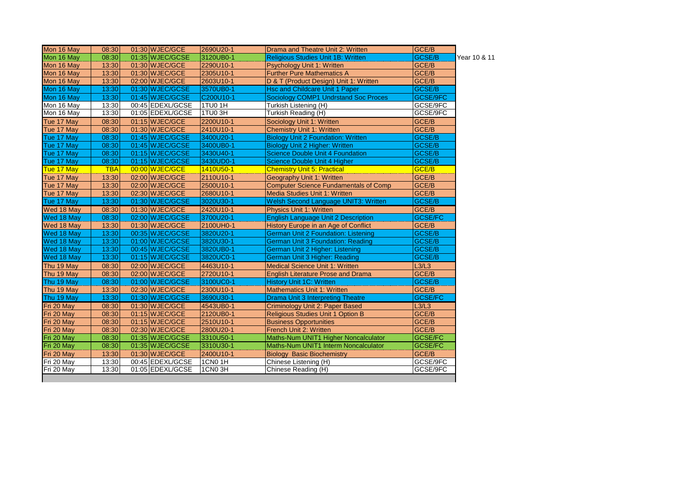| Mon 16 May | 08:30      | 01:30 WJEC/GCE   | 2690U20-1      | Drama and Theatre Unit 2: Written            | GCE/B          |              |
|------------|------------|------------------|----------------|----------------------------------------------|----------------|--------------|
| Mon 16 May | 08:30      | 01:35 WJEC/GCSE  | 3120UB0-1      | <b>Religious Studies Unit 1B: Written</b>    | <b>GCSE/B</b>  | Year 10 & 11 |
| Mon 16 May | 13:30      | 01:30 WJEC/GCE   | 2290U10-1      | Psychology Unit 1: Written                   | GCE/B          |              |
| Mon 16 May | 13:30      | 01:30 WJEC/GCE   | 2305U10-1      | <b>Further Pure Mathematics A</b>            | GCE/B          |              |
| Mon 16 May | 13:30      | 02:00 WJEC/GCE   | 2603U10-1      | D & T (Product Design) Unit 1: Written       | GCE/B          |              |
| Mon 16 May | 13:30      | 01:30 WJEC/GCSE  | 3570UB0-1      | <b>Hsc and Childcare Unit 1 Paper</b>        | GCSE/B         |              |
| Mon 16 May | 13:30      | 01:45 WJEC/GCSE  | C200U10-1      | <b>Sociology COMP1 Undrstand Soc Proces</b>  | GCSE/9FC       |              |
| Mon 16 May | 13:30      | 00:45 EDEXL/GCSE | 1TU0 1H        | Turkish Listening (H)                        | GCSE/9FC       |              |
| Mon 16 May | 13:30      | 01:05 EDEXL/GCSE | 1TU03H         | Turkish Reading (H)                          | GCSE/9FC       |              |
| Tue 17 May | 08:30      | 01:15 WJEC/GCE   | 2200U10-1      | Sociology Unit 1: Written                    | GCE/B          |              |
| Tue 17 May | 08:30      | 01:30 WJEC/GCE   | 2410U10-1      | <b>Chemistry Unit 1: Written</b>             | GCE/B          |              |
| Tue 17 May | 08:30      | 01:45 WJEC/GCSE  | 3400U20-1      | <b>Biology Unit 2 Foundation: Written</b>    | <b>GCSE/B</b>  |              |
| Tue 17 May | 08:30      | 01:45 WJEC/GCSE  | 3400UB0-1      | <b>Biology Unit 2 Higher: Written</b>        | GCSE/B         |              |
| Tue 17 May | 08:30      | 01:15 WJEC/GCSE  | 3430U40-1      | <b>Science Double Unit 4 Foundation</b>      | GCSE/B         |              |
| Tue 17 May | 08:30      | 01:15 WJEC/GCSE  | 3430UD0-1      | Science Double Unit 4 Higher                 | <b>GCSE/B</b>  |              |
| Tue 17 May | <b>TBA</b> | 00:00 WJEC/GCE   | 1410U50-1      | <b>Chemistry Unit 5: Practical</b>           | GCE/B          |              |
| Tue 17 May | 13:30      | 02:00 WJEC/GCE   | 2110U10-1      | Geography Unit 1: Written                    | GCE/B          |              |
| Tue 17 May | 13:30      | 02:00 WJEC/GCE   | 2500U10-1      | <b>Computer Science Fundamentals of Comp</b> | GCE/B          |              |
| Tue 17 May | 13:30      | 02:30 WJEC/GCE   | 2680U10-1      | Media Studies Unit 1: Written                | GCE/B          |              |
| Tue 17 May | 13:30      | 01:30 WJEC/GCSE  | 3020U30-1      | Welsh Second Language UNIT3: Written         | GCSE/B         |              |
| Wed 18 May | 08:30      | $01:30$ WJEC/GCE | 2420U10-1      | <b>Physics Unit 1: Written</b>               | GCE/B          |              |
| Wed 18 May | 08:30      | 02:00 WJEC/GCSE  | 3700U20-1      | <b>English Language Unit 2 Description</b>   | <b>GCSE/FC</b> |              |
| Wed 18 May | 13:30      | 01:30 WJEC/GCE   | 2100UH0-1      | History Europe in an Age of Conflict         | GCE/B          |              |
| Wed 18 May | 13:30      | 00:35 WJEC/GCSE  | 3820U20-1      | German Unit 2 Foundation: Listening          | <b>GCSE/B</b>  |              |
| Wed 18 May | 13:30      | 01:00 WJEC/GCSE  | 3820U30-1      | <b>German Unit 3 Foundation: Reading</b>     | GCSE/B         |              |
| Wed 18 May | 13:30      | 00:45 WJEC/GCSE  | 3820UB0-1      | German Unit 2 Higher: Listening              | GCSE/B         |              |
| Wed 18 May | 13:30      | 01:15 WJEC/GCSE  | 3820UC0-1      | German Unit 3 Higher: Reading                | GCSE/B         |              |
| Thu 19 May | 08:30      | 02:00 WJEC/GCE   | 4463U10-1      | <b>Medical Science Unit 1: Written</b>       | L3/L3          |              |
| Thu 19 May | 08:30      | 02:00 WJEC/GCE   | 2720U10-1      | <b>English Literature Prose and Drama</b>    | GCE/B          |              |
| Thu 19 May | 08:30      | 01:00 WJEC/GCSE  | 3100UC0-1      | <b>History Unit 1C: Written</b>              | <b>GCSE/B</b>  |              |
| Thu 19 May | 13:30      | 02:30 WJEC/GCE   | 2300U10-1      | <b>Mathematics Unit 1: Written</b>           | GCE/B          |              |
| Thu 19 May | 13:30      | 01:30 WJEC/GCSE  | 3690U30-1      | <b>Drama Unit 3 Interpreting Theatre</b>     | <b>GCSE/FC</b> |              |
| Fri 20 May | 08:30      | 01:30 WJEC/GCE   | 4543UB0-1      | Criminology Unit 2: Paper Based              | L3/L3          |              |
| Fri 20 May | 08:30      | 01:15 WJEC/GCE   | 2120UB0-1      | Religious Studies Unit 1 Option B            | GCE/B          |              |
| Fri 20 May | 08:30      | $01:15$ WJEC/GCE | 2510U10-1      | <b>Business Opportunities</b>                | GCE/B          |              |
| Fri 20 May | 08:30      | 02:30 WJEC/GCE   | 2800U20-1      | French Unit 2: Written                       | GCE/B          |              |
| Fri 20 May | 08:30      | 01:35 WJEC/GCSE  | 3310U50-1      | Maths-Num UNIT1 Higher Noncalculator         | <b>GCSE/FC</b> |              |
| Fri 20 May | 08:30      | 01:35 WJEC/GCSE  | 3310U30-1      | Maths-Num UNIT1 Interm Noncalculator         | <b>GCSE/FC</b> |              |
| Fri 20 May | 13:30      | 01:30 WJEC/GCE   | 2400U10-1      | <b>Biology Basic Biochemistry</b>            | GCE/B          |              |
| Fri 20 May | 13:30      | 00:45 EDEXL/GCSE | <b>1CN0 1H</b> | Chinese Listening (H)                        | GCSE/9FC       |              |
| Fri 20 May | 13:30      | 01:05 EDEXL/GCSE | 1CN03H         | Chinese Reading (H)                          | GCSE/9FC       |              |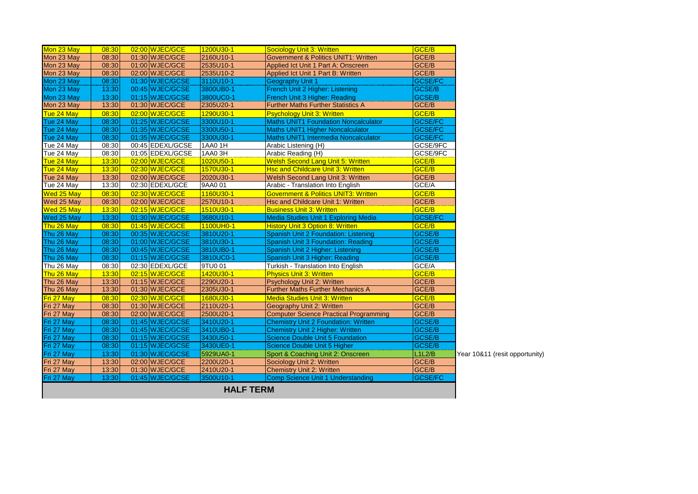| Mon 23 May | 08:30 | 02:00 WJEC/GCE   | 1200U30-1 | <b>Sociology Unit 3: Written</b>                | <b>GCE/B</b>     |
|------------|-------|------------------|-----------|-------------------------------------------------|------------------|
| Mon 23 May | 08:30 | $01:30$ WJEC/GCE | 2160U10-1 | <b>Government &amp; Politics UNIT1: Written</b> | GCE/B            |
| Mon 23 May | 08:30 | 01:00 WJEC/GCE   | 2535U10-1 | Applied Ict Unit 1 Part A: Onscreen             | GCE/B            |
| Mon 23 May | 08:30 | 02:00 WJEC/GCE   | 2535U10-2 | Applied Ict Unit 1 Part B: Written              | GCE/B            |
| Mon 23 May | 08:30 | 01:30 WJEC/GCSE  | 3110U10-1 | <b>Geography Unit 1</b>                         | <b>GCSE/FC</b>   |
| Mon 23 May | 13:30 | 00:45 WJEC/GCSE  | 3800UB0-1 | French Unit 2 Higher: Listening                 | <b>GCSE/B</b>    |
| Mon 23 May | 13:30 | 01:15 WJEC/GCSE  | 3800UC0-1 | French Unit 3 Higher: Reading                   | <b>GCSE/B</b>    |
| Mon 23 May | 13:30 | 01:30 WJEC/GCE   | 2305U20-1 | <b>Further Maths Further Statistics A</b>       | GCE/B            |
| Tue 24 May | 08:30 | 02:00 WJEC/GCE   | 1290U30-1 | <b>Psychology Unit 3: Written</b>               | GCE/B            |
| Tue 24 May | 08:30 | 01:25 WJEC/GCSE  | 3300U10-1 | <b>Maths UNIT1 Foundation Noncalculator</b>     | <b>GCSE/FC</b>   |
| Tue 24 May | 08:30 | 01:35 WJEC/GCSE  | 3300U50-1 | <b>Maths UNIT1 Higher Noncalculator</b>         | <b>GCSE/FC</b>   |
| Tue 24 May | 08:30 | 01:35 WJEC/GCSE  | 3300U30-1 | Maths UNIT1 Intermedia Noncalculator            | <b>GCSE/FC</b>   |
| Tue 24 May | 08:30 | 00:45 EDEXL/GCSE | 1AA0 1H   | Arabic Listening (H)                            | GCSE/9FC         |
| Tue 24 May | 08:30 | 01:05 EDEXL/GCSE | 1AA03H    | Arabic Reading (H)                              | GCSE/9FC         |
| Tue 24 May | 13:30 | 02:00 WJEC/GCE   | 1020U50-1 | <b>Welsh Second Lang Unit 5: Written</b>        | GCE/B            |
| Tue 24 May | 13:30 | 02:30 WJEC/GCE   | 1570U30-1 | <b>Hsc and Childcare Unit 3: Written</b>        | GCE/B            |
| Tue 24 May | 13:30 | 02:00 WJEC/GCE   | 2020U30-1 | Welsh Second Lang Unit 3: Written               | GCE/B            |
| Tue 24 May | 13:30 | 02:30 EDEXL/GCE  | 9AA0 01   | Arabic - Translation Into English               | GCE/A            |
| Wed 25 May | 08:30 | 02:30 WJEC/GCE   | 1160U30-1 | <b>Government &amp; Politics UNIT3: Written</b> | GCE/B            |
| Wed 25 May | 08:30 | 02:00 WJEC/GCE   | 2570U10-1 | Hsc and Childcare Unit 1: Written               | GCE/B            |
| Wed 25 May | 13:30 | 02:15 WJEC/GCE   | 1510U30-1 | <b>Business Unit 3: Written</b>                 | GCE/B            |
| Wed 25 May | 13:30 | 01:30 WJEC/GCSE  | 3680U10-1 | Media Studies Unit 1 Exploring Media            | <b>GCSE/FC</b>   |
| Thu 26 May | 08:30 | 01:45 WJEC/GCE   | 1100UH0-1 | <b>History Unit 3 Option 8: Written</b>         | GCE/B            |
| Thu 26 May | 08:30 | 00:35 WJEC/GCSE  | 3810U20-1 | Spanish Unit 2 Foundation: Listening            | <b>GCSE/B</b>    |
| Thu 26 May | 08:30 | 01:00 WJEC/GCSE  | 3810U30-1 | Spanish Unit 3 Foundation: Reading              | <b>GCSE/B</b>    |
| Thu 26 May | 08:30 | 00:45 WJEC/GCSE  | 3810UB0-1 | Spanish Unit 2 Higher: Listening                | <b>GCSE/B</b>    |
| Thu 26 May | 08:30 | 01:15 WJEC/GCSE  | 3810UC0-1 | Spanish Unit 3 Higher: Reading                  | GCSE/B           |
| Thu 26 May | 08:30 | 02:30 EDEXL/GCE  | 9TU0 01   | Turkish - Translation Into English              | GCE/A            |
| Thu 26 May | 13:30 | 02:15 WJEC/GCE   | 1420U30-1 | <b>Physics Unit 3: Written</b>                  | GCE/B            |
| Thu 26 May | 13:30 | $01:15$ WJEC/GCE | 2290U20-1 | Psychology Unit 2: Written                      | GCE/B            |
| Thu 26 May | 13:30 | 01:30 WJEC/GCE   | 2305U30-1 | <b>Further Maths Further Mechanics A</b>        | GCE/B            |
| Fri 27 May | 08:30 | 02:30 WJEC/GCE   | 1680U30-1 | <b>Media Studies Unit 3: Written</b>            | GCE/B            |
| Fri 27 May | 08:30 | $01:30$ WJEC/GCE | 2110U20-1 | Geography Unit 2: Written                       | GCE/B            |
| Fri 27 May | 08:30 | 02:00 WJEC/GCE   | 2500U20-1 | <b>Computer Science Practical Programming</b>   | GCE/B            |
| Fri 27 May | 08:30 | 01:45 WJEC/GCSE  | 3410U20-1 | <b>Chemistry Unit 2 Foundation: Written</b>     | GCSE/B           |
| Fri 27 May | 08:30 | 01:45 WJEC/GCSE  | 3410UB0-1 | <b>Chemistry Unit 2 Higher: Written</b>         | <b>GCSE/B</b>    |
| Fri 27 May | 08:30 | 01:15 WJEC/GCSE  | 3430U50-1 | <b>Science Double Unit 5 Foundation</b>         | GCSE/B           |
| Fri 27 May | 08:30 | 01:15 WJEC/GCSE  | 3430UE0-1 | Science Double Unit 5 Higher                    | GCSE/B           |
| Fri 27 May | 13:30 | 01:30 WJEC/GCSE  | 5929UA0-1 | Sport & Coaching Unit 2: Onscreen               | L1L2/B<br>Year 1 |
| Fri 27 May | 13:30 | 02:00 WJEC/GCE   | 2200U20-1 | Sociology Unit 2: Written                       | GCE/B            |
| Fri 27 May | 13:30 | 01:30 WJEC/GCE   | 2410U20-1 | <b>Chemistry Unit 2: Written</b>                | GCE/B            |
| Fri 27 May | 13:30 | 01:45 WJEC/GCSE  | 3500U10-1 | <b>Comp Science Unit 1 Understanding</b>        | <b>GCSE/FC</b>   |
|            |       |                  |           |                                                 |                  |

10&11 (resit opportunity)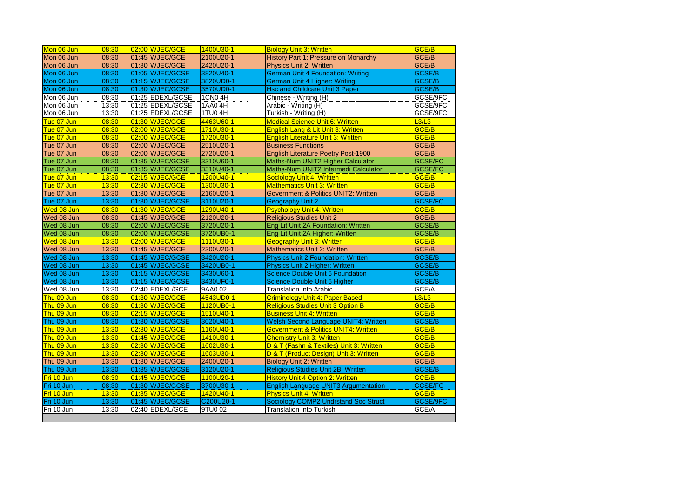| 02:00 WJEC/GCE<br>1400U30-1<br>GCE/B<br>Mon 06 Jun<br>08:30<br><b>Biology Unit 3: Written</b><br>Mon 06 Jun<br>GCE/B<br>08:30<br>01:45 WJEC/GCE<br>2100U20-1<br>History Part 1: Pressure on Monarchy<br>GCE/B<br>Mon 06 Jun<br>08:30<br>01:30 WJEC/GCE<br>2420U20-1<br>Physics Unit 2: Written<br>Mon 06 Jun<br>08:30<br>01:05 WJEC/GCSE<br>3820U40-1<br><b>German Unit 4 Foundation: Writing</b><br>01:15 WJEC/GCSE<br>3820UD0-1<br>Mon 06 Jun<br>08:30<br>German Unit 4 Higher: Writing<br>01:30 WJEC/GCSE<br>3570UD0-1<br>Mon 06 Jun<br>08:30<br><b>Hsc and Childcare Unit 3 Paper</b><br>01:25 EDEXL/GCSE<br>Mon 06 Jun<br>08:30<br><b>1CN04H</b><br>Chinese - Writing (H)<br>13:30<br>01:25 EDEXL/GCSE<br>1AA0 4H<br>Mon 06 Jun<br>Arabic - Writing (H)<br>13:30<br>01:25 EDEXL/GCSE<br>1TU0 4H<br>Turkish - Writing (H)<br>Mon 06 Jun<br>Tue 07 Jun<br>01:30 WJEC/GCE<br>4463U60-1<br><b>Medical Science Unit 6: Written</b><br>L3/L3<br>08:30<br>02:00 WJEC/GCE<br>1710U30-1<br>GCE/B<br>Tue 07 Jun<br>08:30<br>English Lang & Lit Unit 3: Written<br>08:30<br>02:00 WJEC/GCE<br>1720U30-1<br><b>English Literature Unit 3: Written</b><br>GCE/B<br>Tue 07 Jun<br>08:30<br>02:00 WJEC/GCE<br>2510U20-1<br>GCE/B<br>Tue 07 Jun<br><b>Business Functions</b><br>GCE/B<br>02:00 WJEC/GCE<br>2720U20-1<br><b>English Literature Poetry Post-1900</b><br>Tue 07 Jun<br>08:30<br>01:35 WJEC/GCSE<br>Tue 07 Jun<br>08:30<br>3310U60-1<br>Maths-Num UNIT2 Higher Calculator<br>Tue 07 Jun<br>08:30<br>01:35 WJEC/GCSE<br>3310U40-1<br>Maths-Num UNIT2 Intermedi Calculator<br>Tue 07 Jun<br>02:15 WJEC/GCE<br>1200U40-1<br>GCE/B<br>13:30<br><b>Sociology Unit 4: Written</b><br>13:30<br>02:30 WJEC/GCE<br>1300U30-1<br>GCE/B<br>Tue 07 Jun<br><b>Mathematics Unit 3: Written</b><br>GCE/B<br>13:30<br>01:30 WJEC/GCE<br>2160U20-1<br>Tue 07 Jun<br><b>Government &amp; Politics UNIT2: Written</b><br>Tue 07 Jun<br>13:30<br>01:30 WJEC/GCSE<br>3110U20-1<br><b>Geography Unit 2</b><br>01:30 WJEC/GCE<br>Wed 08 Jun<br>08:30<br>1290U40-1<br><b>Psychology Unit 4: Written</b><br>GCE/B<br>GCE/B<br>08:30<br>01:45 WJEC/GCE<br>2120U20-1<br><b>Religious Studies Unit 2</b><br>Wed 08 Jun<br>Wed 08 Jun<br>08:30<br>02:00 WJEC/GCSE<br>3720U20-1<br>Eng Lit Unit 2A Foundation: Written<br>08:30<br>02:00 WJEC/GCSE<br>3720UB0-1<br>Eng Lit Unit 2A Higher: Written<br>Wed 08 Jun<br>02:00 WJEC/GCE<br>1110U30-1<br>Wed 08 Jun<br>13:30<br><b>Geography Unit 3: Written</b><br>GCE/B<br>GCE/B<br>13:30<br>01:45 WJEC/GCE<br>2300U20-1<br>Wed 08 Jun<br><b>Mathematics Unit 2: Written</b><br>Wed 08 Jun<br>13:30<br>01:45 WJEC/GCSE<br>3420U20-1<br><b>Physics Unit 2 Foundation: Written</b><br>13:30<br>01:45 WJEC/GCSE<br>3420UB0-1<br>Physics Unit 2 Higher: Written<br>Wed 08 Jun<br>Wed 08 Jun<br>13:30<br>01:15 WJEC/GCSE<br>3430U60-1<br><b>Science Double Unit 6 Foundation</b><br>Wed 08 Jun<br>13:30<br>01:15 WJEC/GCSE<br>3430UF0-1<br>Science Double Unit 6 Higher<br>13:30<br>02:40 EDEXL/GCE<br>GCE/A<br>Wed 08 Jun<br>9AA0 02<br><b>Translation Into Arabic</b><br>01:30 WJEC/GCE<br>4543UD0-1<br>L3/L3<br>Thu 09 Jun<br>08:30<br><b>Criminology Unit 4: Paper Based</b><br>GCE/B<br>Thu 09 Jun<br>08:30<br>01:30 WJEC/GCE<br>1120UB0-1<br><b>Religious Studies Unit 3 Option B</b><br>08:30<br>02:15 WJEC/GCE<br>1510U40-1<br><b>Business Unit 4: Written</b><br><b>GCE/B</b><br>Thu 09 Jun<br>08:30<br>01:30 WJEC/GCSE<br>3020U40-1<br><b>Welsh Second Language UNIT4: Written</b><br>Thu 09 Jun<br>1160U40-1<br>Thu 09 Jun<br>13:30<br>02:30 WJEC/GCE<br><b>Government &amp; Politics UNIT4: Written</b><br>GCE/B<br>GCE/B<br>13:30<br>01:45 WJEC/GCE<br>1410U30-1<br><b>Chemistry Unit 3: Written</b><br>Thu 09 Jun<br>GCE/B<br>13:30<br>02:30 WJEC/GCE<br>1602U30-1<br>D & T (Fashn & Textiles) Unit 3: Written<br>Thu 09 Jun<br>Thu 09 Jun<br>13:30<br>02:30 WJEC/GCE<br>1603U30-1<br>D & T (Product Design) Unit 3: Written<br>GCE/B<br>01:30 WJEC/GCE<br>GCE/B<br>13:30<br>2400U20-1<br><b>Biology Unit 2: Written</b><br>Thu 09 Jun<br>13:30<br>Religious Studies Unit 2B: Written<br>Thu 09 Jun<br>01:35 WJEC/GCSE<br>3120U20-1<br>08:30<br>01:45 WJEC/GCE<br>GCE/B<br>Fri 10 Jun<br>1100U20-1<br><b>History Unit 4 Option 2: Written</b><br>Fri 10 Jun<br>01:30 WJEC/GCSE<br>3700U30-1<br>08:30<br><b>English Language UNIT3 Argumentation</b><br>13:30<br>01:35 WJEC/GCE<br>1420U40-1<br><b>Physics Unit 4: Written</b><br><b>GCE/B</b><br>Fri 10 Jun<br>01:45 WJEC/GCSE<br>C200U20-1<br><b>Sociology COMP2 Undrstand Soc Struct</b><br>Fri 10 Jun<br>13:30 |            |       |                 |         |                                 |                |
|-------------------------------------------------------------------------------------------------------------------------------------------------------------------------------------------------------------------------------------------------------------------------------------------------------------------------------------------------------------------------------------------------------------------------------------------------------------------------------------------------------------------------------------------------------------------------------------------------------------------------------------------------------------------------------------------------------------------------------------------------------------------------------------------------------------------------------------------------------------------------------------------------------------------------------------------------------------------------------------------------------------------------------------------------------------------------------------------------------------------------------------------------------------------------------------------------------------------------------------------------------------------------------------------------------------------------------------------------------------------------------------------------------------------------------------------------------------------------------------------------------------------------------------------------------------------------------------------------------------------------------------------------------------------------------------------------------------------------------------------------------------------------------------------------------------------------------------------------------------------------------------------------------------------------------------------------------------------------------------------------------------------------------------------------------------------------------------------------------------------------------------------------------------------------------------------------------------------------------------------------------------------------------------------------------------------------------------------------------------------------------------------------------------------------------------------------------------------------------------------------------------------------------------------------------------------------------------------------------------------------------------------------------------------------------------------------------------------------------------------------------------------------------------------------------------------------------------------------------------------------------------------------------------------------------------------------------------------------------------------------------------------------------------------------------------------------------------------------------------------------------------------------------------------------------------------------------------------------------------------------------------------------------------------------------------------------------------------------------------------------------------------------------------------------------------------------------------------------------------------------------------------------------------------------------------------------------------------------------------------------------------------------------------------------------------------------------------------------------------------------------------------------------------------------------------------------------------------------------------------------------------------------------------------------------------------------------------------------------------------------------------------------------------------------------------------------------------------------------------------------------------------------------------------------------------------------------------------------------------------------------------------------------------------------------------------------------------------------------------------------------------------------------------------------------------------------------------------------------------------------------------------------------------------------------------------------------------------|------------|-------|-----------------|---------|---------------------------------|----------------|
|                                                                                                                                                                                                                                                                                                                                                                                                                                                                                                                                                                                                                                                                                                                                                                                                                                                                                                                                                                                                                                                                                                                                                                                                                                                                                                                                                                                                                                                                                                                                                                                                                                                                                                                                                                                                                                                                                                                                                                                                                                                                                                                                                                                                                                                                                                                                                                                                                                                                                                                                                                                                                                                                                                                                                                                                                                                                                                                                                                                                                                                                                                                                                                                                                                                                                                                                                                                                                                                                                                                                                                                                                                                                                                                                                                                                                                                                                                                                                                                                                                                                                                                                                                                                                                                                                                                                                                                                                                                                                                                                                                                           |            |       |                 |         |                                 |                |
|                                                                                                                                                                                                                                                                                                                                                                                                                                                                                                                                                                                                                                                                                                                                                                                                                                                                                                                                                                                                                                                                                                                                                                                                                                                                                                                                                                                                                                                                                                                                                                                                                                                                                                                                                                                                                                                                                                                                                                                                                                                                                                                                                                                                                                                                                                                                                                                                                                                                                                                                                                                                                                                                                                                                                                                                                                                                                                                                                                                                                                                                                                                                                                                                                                                                                                                                                                                                                                                                                                                                                                                                                                                                                                                                                                                                                                                                                                                                                                                                                                                                                                                                                                                                                                                                                                                                                                                                                                                                                                                                                                                           |            |       |                 |         |                                 |                |
|                                                                                                                                                                                                                                                                                                                                                                                                                                                                                                                                                                                                                                                                                                                                                                                                                                                                                                                                                                                                                                                                                                                                                                                                                                                                                                                                                                                                                                                                                                                                                                                                                                                                                                                                                                                                                                                                                                                                                                                                                                                                                                                                                                                                                                                                                                                                                                                                                                                                                                                                                                                                                                                                                                                                                                                                                                                                                                                                                                                                                                                                                                                                                                                                                                                                                                                                                                                                                                                                                                                                                                                                                                                                                                                                                                                                                                                                                                                                                                                                                                                                                                                                                                                                                                                                                                                                                                                                                                                                                                                                                                                           |            |       |                 |         |                                 |                |
|                                                                                                                                                                                                                                                                                                                                                                                                                                                                                                                                                                                                                                                                                                                                                                                                                                                                                                                                                                                                                                                                                                                                                                                                                                                                                                                                                                                                                                                                                                                                                                                                                                                                                                                                                                                                                                                                                                                                                                                                                                                                                                                                                                                                                                                                                                                                                                                                                                                                                                                                                                                                                                                                                                                                                                                                                                                                                                                                                                                                                                                                                                                                                                                                                                                                                                                                                                                                                                                                                                                                                                                                                                                                                                                                                                                                                                                                                                                                                                                                                                                                                                                                                                                                                                                                                                                                                                                                                                                                                                                                                                                           |            |       |                 |         |                                 | <b>GCSE/B</b>  |
|                                                                                                                                                                                                                                                                                                                                                                                                                                                                                                                                                                                                                                                                                                                                                                                                                                                                                                                                                                                                                                                                                                                                                                                                                                                                                                                                                                                                                                                                                                                                                                                                                                                                                                                                                                                                                                                                                                                                                                                                                                                                                                                                                                                                                                                                                                                                                                                                                                                                                                                                                                                                                                                                                                                                                                                                                                                                                                                                                                                                                                                                                                                                                                                                                                                                                                                                                                                                                                                                                                                                                                                                                                                                                                                                                                                                                                                                                                                                                                                                                                                                                                                                                                                                                                                                                                                                                                                                                                                                                                                                                                                           |            |       |                 |         |                                 | <b>GCSE/B</b>  |
|                                                                                                                                                                                                                                                                                                                                                                                                                                                                                                                                                                                                                                                                                                                                                                                                                                                                                                                                                                                                                                                                                                                                                                                                                                                                                                                                                                                                                                                                                                                                                                                                                                                                                                                                                                                                                                                                                                                                                                                                                                                                                                                                                                                                                                                                                                                                                                                                                                                                                                                                                                                                                                                                                                                                                                                                                                                                                                                                                                                                                                                                                                                                                                                                                                                                                                                                                                                                                                                                                                                                                                                                                                                                                                                                                                                                                                                                                                                                                                                                                                                                                                                                                                                                                                                                                                                                                                                                                                                                                                                                                                                           |            |       |                 |         |                                 | GCSE/B         |
|                                                                                                                                                                                                                                                                                                                                                                                                                                                                                                                                                                                                                                                                                                                                                                                                                                                                                                                                                                                                                                                                                                                                                                                                                                                                                                                                                                                                                                                                                                                                                                                                                                                                                                                                                                                                                                                                                                                                                                                                                                                                                                                                                                                                                                                                                                                                                                                                                                                                                                                                                                                                                                                                                                                                                                                                                                                                                                                                                                                                                                                                                                                                                                                                                                                                                                                                                                                                                                                                                                                                                                                                                                                                                                                                                                                                                                                                                                                                                                                                                                                                                                                                                                                                                                                                                                                                                                                                                                                                                                                                                                                           |            |       |                 |         |                                 | GCSE/9FC       |
|                                                                                                                                                                                                                                                                                                                                                                                                                                                                                                                                                                                                                                                                                                                                                                                                                                                                                                                                                                                                                                                                                                                                                                                                                                                                                                                                                                                                                                                                                                                                                                                                                                                                                                                                                                                                                                                                                                                                                                                                                                                                                                                                                                                                                                                                                                                                                                                                                                                                                                                                                                                                                                                                                                                                                                                                                                                                                                                                                                                                                                                                                                                                                                                                                                                                                                                                                                                                                                                                                                                                                                                                                                                                                                                                                                                                                                                                                                                                                                                                                                                                                                                                                                                                                                                                                                                                                                                                                                                                                                                                                                                           |            |       |                 |         |                                 | GCSE/9FC       |
|                                                                                                                                                                                                                                                                                                                                                                                                                                                                                                                                                                                                                                                                                                                                                                                                                                                                                                                                                                                                                                                                                                                                                                                                                                                                                                                                                                                                                                                                                                                                                                                                                                                                                                                                                                                                                                                                                                                                                                                                                                                                                                                                                                                                                                                                                                                                                                                                                                                                                                                                                                                                                                                                                                                                                                                                                                                                                                                                                                                                                                                                                                                                                                                                                                                                                                                                                                                                                                                                                                                                                                                                                                                                                                                                                                                                                                                                                                                                                                                                                                                                                                                                                                                                                                                                                                                                                                                                                                                                                                                                                                                           |            |       |                 |         |                                 | GCSE/9FC       |
|                                                                                                                                                                                                                                                                                                                                                                                                                                                                                                                                                                                                                                                                                                                                                                                                                                                                                                                                                                                                                                                                                                                                                                                                                                                                                                                                                                                                                                                                                                                                                                                                                                                                                                                                                                                                                                                                                                                                                                                                                                                                                                                                                                                                                                                                                                                                                                                                                                                                                                                                                                                                                                                                                                                                                                                                                                                                                                                                                                                                                                                                                                                                                                                                                                                                                                                                                                                                                                                                                                                                                                                                                                                                                                                                                                                                                                                                                                                                                                                                                                                                                                                                                                                                                                                                                                                                                                                                                                                                                                                                                                                           |            |       |                 |         |                                 |                |
|                                                                                                                                                                                                                                                                                                                                                                                                                                                                                                                                                                                                                                                                                                                                                                                                                                                                                                                                                                                                                                                                                                                                                                                                                                                                                                                                                                                                                                                                                                                                                                                                                                                                                                                                                                                                                                                                                                                                                                                                                                                                                                                                                                                                                                                                                                                                                                                                                                                                                                                                                                                                                                                                                                                                                                                                                                                                                                                                                                                                                                                                                                                                                                                                                                                                                                                                                                                                                                                                                                                                                                                                                                                                                                                                                                                                                                                                                                                                                                                                                                                                                                                                                                                                                                                                                                                                                                                                                                                                                                                                                                                           |            |       |                 |         |                                 |                |
|                                                                                                                                                                                                                                                                                                                                                                                                                                                                                                                                                                                                                                                                                                                                                                                                                                                                                                                                                                                                                                                                                                                                                                                                                                                                                                                                                                                                                                                                                                                                                                                                                                                                                                                                                                                                                                                                                                                                                                                                                                                                                                                                                                                                                                                                                                                                                                                                                                                                                                                                                                                                                                                                                                                                                                                                                                                                                                                                                                                                                                                                                                                                                                                                                                                                                                                                                                                                                                                                                                                                                                                                                                                                                                                                                                                                                                                                                                                                                                                                                                                                                                                                                                                                                                                                                                                                                                                                                                                                                                                                                                                           |            |       |                 |         |                                 |                |
|                                                                                                                                                                                                                                                                                                                                                                                                                                                                                                                                                                                                                                                                                                                                                                                                                                                                                                                                                                                                                                                                                                                                                                                                                                                                                                                                                                                                                                                                                                                                                                                                                                                                                                                                                                                                                                                                                                                                                                                                                                                                                                                                                                                                                                                                                                                                                                                                                                                                                                                                                                                                                                                                                                                                                                                                                                                                                                                                                                                                                                                                                                                                                                                                                                                                                                                                                                                                                                                                                                                                                                                                                                                                                                                                                                                                                                                                                                                                                                                                                                                                                                                                                                                                                                                                                                                                                                                                                                                                                                                                                                                           |            |       |                 |         |                                 |                |
|                                                                                                                                                                                                                                                                                                                                                                                                                                                                                                                                                                                                                                                                                                                                                                                                                                                                                                                                                                                                                                                                                                                                                                                                                                                                                                                                                                                                                                                                                                                                                                                                                                                                                                                                                                                                                                                                                                                                                                                                                                                                                                                                                                                                                                                                                                                                                                                                                                                                                                                                                                                                                                                                                                                                                                                                                                                                                                                                                                                                                                                                                                                                                                                                                                                                                                                                                                                                                                                                                                                                                                                                                                                                                                                                                                                                                                                                                                                                                                                                                                                                                                                                                                                                                                                                                                                                                                                                                                                                                                                                                                                           |            |       |                 |         |                                 |                |
|                                                                                                                                                                                                                                                                                                                                                                                                                                                                                                                                                                                                                                                                                                                                                                                                                                                                                                                                                                                                                                                                                                                                                                                                                                                                                                                                                                                                                                                                                                                                                                                                                                                                                                                                                                                                                                                                                                                                                                                                                                                                                                                                                                                                                                                                                                                                                                                                                                                                                                                                                                                                                                                                                                                                                                                                                                                                                                                                                                                                                                                                                                                                                                                                                                                                                                                                                                                                                                                                                                                                                                                                                                                                                                                                                                                                                                                                                                                                                                                                                                                                                                                                                                                                                                                                                                                                                                                                                                                                                                                                                                                           |            |       |                 |         |                                 | <b>GCSE/FC</b> |
|                                                                                                                                                                                                                                                                                                                                                                                                                                                                                                                                                                                                                                                                                                                                                                                                                                                                                                                                                                                                                                                                                                                                                                                                                                                                                                                                                                                                                                                                                                                                                                                                                                                                                                                                                                                                                                                                                                                                                                                                                                                                                                                                                                                                                                                                                                                                                                                                                                                                                                                                                                                                                                                                                                                                                                                                                                                                                                                                                                                                                                                                                                                                                                                                                                                                                                                                                                                                                                                                                                                                                                                                                                                                                                                                                                                                                                                                                                                                                                                                                                                                                                                                                                                                                                                                                                                                                                                                                                                                                                                                                                                           |            |       |                 |         |                                 | <b>GCSE/FC</b> |
|                                                                                                                                                                                                                                                                                                                                                                                                                                                                                                                                                                                                                                                                                                                                                                                                                                                                                                                                                                                                                                                                                                                                                                                                                                                                                                                                                                                                                                                                                                                                                                                                                                                                                                                                                                                                                                                                                                                                                                                                                                                                                                                                                                                                                                                                                                                                                                                                                                                                                                                                                                                                                                                                                                                                                                                                                                                                                                                                                                                                                                                                                                                                                                                                                                                                                                                                                                                                                                                                                                                                                                                                                                                                                                                                                                                                                                                                                                                                                                                                                                                                                                                                                                                                                                                                                                                                                                                                                                                                                                                                                                                           |            |       |                 |         |                                 |                |
|                                                                                                                                                                                                                                                                                                                                                                                                                                                                                                                                                                                                                                                                                                                                                                                                                                                                                                                                                                                                                                                                                                                                                                                                                                                                                                                                                                                                                                                                                                                                                                                                                                                                                                                                                                                                                                                                                                                                                                                                                                                                                                                                                                                                                                                                                                                                                                                                                                                                                                                                                                                                                                                                                                                                                                                                                                                                                                                                                                                                                                                                                                                                                                                                                                                                                                                                                                                                                                                                                                                                                                                                                                                                                                                                                                                                                                                                                                                                                                                                                                                                                                                                                                                                                                                                                                                                                                                                                                                                                                                                                                                           |            |       |                 |         |                                 |                |
|                                                                                                                                                                                                                                                                                                                                                                                                                                                                                                                                                                                                                                                                                                                                                                                                                                                                                                                                                                                                                                                                                                                                                                                                                                                                                                                                                                                                                                                                                                                                                                                                                                                                                                                                                                                                                                                                                                                                                                                                                                                                                                                                                                                                                                                                                                                                                                                                                                                                                                                                                                                                                                                                                                                                                                                                                                                                                                                                                                                                                                                                                                                                                                                                                                                                                                                                                                                                                                                                                                                                                                                                                                                                                                                                                                                                                                                                                                                                                                                                                                                                                                                                                                                                                                                                                                                                                                                                                                                                                                                                                                                           |            |       |                 |         |                                 |                |
|                                                                                                                                                                                                                                                                                                                                                                                                                                                                                                                                                                                                                                                                                                                                                                                                                                                                                                                                                                                                                                                                                                                                                                                                                                                                                                                                                                                                                                                                                                                                                                                                                                                                                                                                                                                                                                                                                                                                                                                                                                                                                                                                                                                                                                                                                                                                                                                                                                                                                                                                                                                                                                                                                                                                                                                                                                                                                                                                                                                                                                                                                                                                                                                                                                                                                                                                                                                                                                                                                                                                                                                                                                                                                                                                                                                                                                                                                                                                                                                                                                                                                                                                                                                                                                                                                                                                                                                                                                                                                                                                                                                           |            |       |                 |         |                                 | <b>GCSE/FC</b> |
|                                                                                                                                                                                                                                                                                                                                                                                                                                                                                                                                                                                                                                                                                                                                                                                                                                                                                                                                                                                                                                                                                                                                                                                                                                                                                                                                                                                                                                                                                                                                                                                                                                                                                                                                                                                                                                                                                                                                                                                                                                                                                                                                                                                                                                                                                                                                                                                                                                                                                                                                                                                                                                                                                                                                                                                                                                                                                                                                                                                                                                                                                                                                                                                                                                                                                                                                                                                                                                                                                                                                                                                                                                                                                                                                                                                                                                                                                                                                                                                                                                                                                                                                                                                                                                                                                                                                                                                                                                                                                                                                                                                           |            |       |                 |         |                                 |                |
|                                                                                                                                                                                                                                                                                                                                                                                                                                                                                                                                                                                                                                                                                                                                                                                                                                                                                                                                                                                                                                                                                                                                                                                                                                                                                                                                                                                                                                                                                                                                                                                                                                                                                                                                                                                                                                                                                                                                                                                                                                                                                                                                                                                                                                                                                                                                                                                                                                                                                                                                                                                                                                                                                                                                                                                                                                                                                                                                                                                                                                                                                                                                                                                                                                                                                                                                                                                                                                                                                                                                                                                                                                                                                                                                                                                                                                                                                                                                                                                                                                                                                                                                                                                                                                                                                                                                                                                                                                                                                                                                                                                           |            |       |                 |         |                                 |                |
|                                                                                                                                                                                                                                                                                                                                                                                                                                                                                                                                                                                                                                                                                                                                                                                                                                                                                                                                                                                                                                                                                                                                                                                                                                                                                                                                                                                                                                                                                                                                                                                                                                                                                                                                                                                                                                                                                                                                                                                                                                                                                                                                                                                                                                                                                                                                                                                                                                                                                                                                                                                                                                                                                                                                                                                                                                                                                                                                                                                                                                                                                                                                                                                                                                                                                                                                                                                                                                                                                                                                                                                                                                                                                                                                                                                                                                                                                                                                                                                                                                                                                                                                                                                                                                                                                                                                                                                                                                                                                                                                                                                           |            |       |                 |         |                                 | GCSE/B         |
|                                                                                                                                                                                                                                                                                                                                                                                                                                                                                                                                                                                                                                                                                                                                                                                                                                                                                                                                                                                                                                                                                                                                                                                                                                                                                                                                                                                                                                                                                                                                                                                                                                                                                                                                                                                                                                                                                                                                                                                                                                                                                                                                                                                                                                                                                                                                                                                                                                                                                                                                                                                                                                                                                                                                                                                                                                                                                                                                                                                                                                                                                                                                                                                                                                                                                                                                                                                                                                                                                                                                                                                                                                                                                                                                                                                                                                                                                                                                                                                                                                                                                                                                                                                                                                                                                                                                                                                                                                                                                                                                                                                           |            |       |                 |         |                                 | GCSE/B         |
|                                                                                                                                                                                                                                                                                                                                                                                                                                                                                                                                                                                                                                                                                                                                                                                                                                                                                                                                                                                                                                                                                                                                                                                                                                                                                                                                                                                                                                                                                                                                                                                                                                                                                                                                                                                                                                                                                                                                                                                                                                                                                                                                                                                                                                                                                                                                                                                                                                                                                                                                                                                                                                                                                                                                                                                                                                                                                                                                                                                                                                                                                                                                                                                                                                                                                                                                                                                                                                                                                                                                                                                                                                                                                                                                                                                                                                                                                                                                                                                                                                                                                                                                                                                                                                                                                                                                                                                                                                                                                                                                                                                           |            |       |                 |         |                                 |                |
|                                                                                                                                                                                                                                                                                                                                                                                                                                                                                                                                                                                                                                                                                                                                                                                                                                                                                                                                                                                                                                                                                                                                                                                                                                                                                                                                                                                                                                                                                                                                                                                                                                                                                                                                                                                                                                                                                                                                                                                                                                                                                                                                                                                                                                                                                                                                                                                                                                                                                                                                                                                                                                                                                                                                                                                                                                                                                                                                                                                                                                                                                                                                                                                                                                                                                                                                                                                                                                                                                                                                                                                                                                                                                                                                                                                                                                                                                                                                                                                                                                                                                                                                                                                                                                                                                                                                                                                                                                                                                                                                                                                           |            |       |                 |         |                                 |                |
|                                                                                                                                                                                                                                                                                                                                                                                                                                                                                                                                                                                                                                                                                                                                                                                                                                                                                                                                                                                                                                                                                                                                                                                                                                                                                                                                                                                                                                                                                                                                                                                                                                                                                                                                                                                                                                                                                                                                                                                                                                                                                                                                                                                                                                                                                                                                                                                                                                                                                                                                                                                                                                                                                                                                                                                                                                                                                                                                                                                                                                                                                                                                                                                                                                                                                                                                                                                                                                                                                                                                                                                                                                                                                                                                                                                                                                                                                                                                                                                                                                                                                                                                                                                                                                                                                                                                                                                                                                                                                                                                                                                           |            |       |                 |         |                                 | <b>GCSE/B</b>  |
|                                                                                                                                                                                                                                                                                                                                                                                                                                                                                                                                                                                                                                                                                                                                                                                                                                                                                                                                                                                                                                                                                                                                                                                                                                                                                                                                                                                                                                                                                                                                                                                                                                                                                                                                                                                                                                                                                                                                                                                                                                                                                                                                                                                                                                                                                                                                                                                                                                                                                                                                                                                                                                                                                                                                                                                                                                                                                                                                                                                                                                                                                                                                                                                                                                                                                                                                                                                                                                                                                                                                                                                                                                                                                                                                                                                                                                                                                                                                                                                                                                                                                                                                                                                                                                                                                                                                                                                                                                                                                                                                                                                           |            |       |                 |         |                                 | <b>GCSE/B</b>  |
|                                                                                                                                                                                                                                                                                                                                                                                                                                                                                                                                                                                                                                                                                                                                                                                                                                                                                                                                                                                                                                                                                                                                                                                                                                                                                                                                                                                                                                                                                                                                                                                                                                                                                                                                                                                                                                                                                                                                                                                                                                                                                                                                                                                                                                                                                                                                                                                                                                                                                                                                                                                                                                                                                                                                                                                                                                                                                                                                                                                                                                                                                                                                                                                                                                                                                                                                                                                                                                                                                                                                                                                                                                                                                                                                                                                                                                                                                                                                                                                                                                                                                                                                                                                                                                                                                                                                                                                                                                                                                                                                                                                           |            |       |                 |         |                                 | <b>GCSE/B</b>  |
|                                                                                                                                                                                                                                                                                                                                                                                                                                                                                                                                                                                                                                                                                                                                                                                                                                                                                                                                                                                                                                                                                                                                                                                                                                                                                                                                                                                                                                                                                                                                                                                                                                                                                                                                                                                                                                                                                                                                                                                                                                                                                                                                                                                                                                                                                                                                                                                                                                                                                                                                                                                                                                                                                                                                                                                                                                                                                                                                                                                                                                                                                                                                                                                                                                                                                                                                                                                                                                                                                                                                                                                                                                                                                                                                                                                                                                                                                                                                                                                                                                                                                                                                                                                                                                                                                                                                                                                                                                                                                                                                                                                           |            |       |                 |         |                                 | GCSE/B         |
|                                                                                                                                                                                                                                                                                                                                                                                                                                                                                                                                                                                                                                                                                                                                                                                                                                                                                                                                                                                                                                                                                                                                                                                                                                                                                                                                                                                                                                                                                                                                                                                                                                                                                                                                                                                                                                                                                                                                                                                                                                                                                                                                                                                                                                                                                                                                                                                                                                                                                                                                                                                                                                                                                                                                                                                                                                                                                                                                                                                                                                                                                                                                                                                                                                                                                                                                                                                                                                                                                                                                                                                                                                                                                                                                                                                                                                                                                                                                                                                                                                                                                                                                                                                                                                                                                                                                                                                                                                                                                                                                                                                           |            |       |                 |         |                                 |                |
|                                                                                                                                                                                                                                                                                                                                                                                                                                                                                                                                                                                                                                                                                                                                                                                                                                                                                                                                                                                                                                                                                                                                                                                                                                                                                                                                                                                                                                                                                                                                                                                                                                                                                                                                                                                                                                                                                                                                                                                                                                                                                                                                                                                                                                                                                                                                                                                                                                                                                                                                                                                                                                                                                                                                                                                                                                                                                                                                                                                                                                                                                                                                                                                                                                                                                                                                                                                                                                                                                                                                                                                                                                                                                                                                                                                                                                                                                                                                                                                                                                                                                                                                                                                                                                                                                                                                                                                                                                                                                                                                                                                           |            |       |                 |         |                                 |                |
|                                                                                                                                                                                                                                                                                                                                                                                                                                                                                                                                                                                                                                                                                                                                                                                                                                                                                                                                                                                                                                                                                                                                                                                                                                                                                                                                                                                                                                                                                                                                                                                                                                                                                                                                                                                                                                                                                                                                                                                                                                                                                                                                                                                                                                                                                                                                                                                                                                                                                                                                                                                                                                                                                                                                                                                                                                                                                                                                                                                                                                                                                                                                                                                                                                                                                                                                                                                                                                                                                                                                                                                                                                                                                                                                                                                                                                                                                                                                                                                                                                                                                                                                                                                                                                                                                                                                                                                                                                                                                                                                                                                           |            |       |                 |         |                                 |                |
|                                                                                                                                                                                                                                                                                                                                                                                                                                                                                                                                                                                                                                                                                                                                                                                                                                                                                                                                                                                                                                                                                                                                                                                                                                                                                                                                                                                                                                                                                                                                                                                                                                                                                                                                                                                                                                                                                                                                                                                                                                                                                                                                                                                                                                                                                                                                                                                                                                                                                                                                                                                                                                                                                                                                                                                                                                                                                                                                                                                                                                                                                                                                                                                                                                                                                                                                                                                                                                                                                                                                                                                                                                                                                                                                                                                                                                                                                                                                                                                                                                                                                                                                                                                                                                                                                                                                                                                                                                                                                                                                                                                           |            |       |                 |         |                                 |                |
|                                                                                                                                                                                                                                                                                                                                                                                                                                                                                                                                                                                                                                                                                                                                                                                                                                                                                                                                                                                                                                                                                                                                                                                                                                                                                                                                                                                                                                                                                                                                                                                                                                                                                                                                                                                                                                                                                                                                                                                                                                                                                                                                                                                                                                                                                                                                                                                                                                                                                                                                                                                                                                                                                                                                                                                                                                                                                                                                                                                                                                                                                                                                                                                                                                                                                                                                                                                                                                                                                                                                                                                                                                                                                                                                                                                                                                                                                                                                                                                                                                                                                                                                                                                                                                                                                                                                                                                                                                                                                                                                                                                           |            |       |                 |         |                                 | <b>GCSE/B</b>  |
|                                                                                                                                                                                                                                                                                                                                                                                                                                                                                                                                                                                                                                                                                                                                                                                                                                                                                                                                                                                                                                                                                                                                                                                                                                                                                                                                                                                                                                                                                                                                                                                                                                                                                                                                                                                                                                                                                                                                                                                                                                                                                                                                                                                                                                                                                                                                                                                                                                                                                                                                                                                                                                                                                                                                                                                                                                                                                                                                                                                                                                                                                                                                                                                                                                                                                                                                                                                                                                                                                                                                                                                                                                                                                                                                                                                                                                                                                                                                                                                                                                                                                                                                                                                                                                                                                                                                                                                                                                                                                                                                                                                           |            |       |                 |         |                                 |                |
|                                                                                                                                                                                                                                                                                                                                                                                                                                                                                                                                                                                                                                                                                                                                                                                                                                                                                                                                                                                                                                                                                                                                                                                                                                                                                                                                                                                                                                                                                                                                                                                                                                                                                                                                                                                                                                                                                                                                                                                                                                                                                                                                                                                                                                                                                                                                                                                                                                                                                                                                                                                                                                                                                                                                                                                                                                                                                                                                                                                                                                                                                                                                                                                                                                                                                                                                                                                                                                                                                                                                                                                                                                                                                                                                                                                                                                                                                                                                                                                                                                                                                                                                                                                                                                                                                                                                                                                                                                                                                                                                                                                           |            |       |                 |         |                                 |                |
|                                                                                                                                                                                                                                                                                                                                                                                                                                                                                                                                                                                                                                                                                                                                                                                                                                                                                                                                                                                                                                                                                                                                                                                                                                                                                                                                                                                                                                                                                                                                                                                                                                                                                                                                                                                                                                                                                                                                                                                                                                                                                                                                                                                                                                                                                                                                                                                                                                                                                                                                                                                                                                                                                                                                                                                                                                                                                                                                                                                                                                                                                                                                                                                                                                                                                                                                                                                                                                                                                                                                                                                                                                                                                                                                                                                                                                                                                                                                                                                                                                                                                                                                                                                                                                                                                                                                                                                                                                                                                                                                                                                           |            |       |                 |         |                                 |                |
|                                                                                                                                                                                                                                                                                                                                                                                                                                                                                                                                                                                                                                                                                                                                                                                                                                                                                                                                                                                                                                                                                                                                                                                                                                                                                                                                                                                                                                                                                                                                                                                                                                                                                                                                                                                                                                                                                                                                                                                                                                                                                                                                                                                                                                                                                                                                                                                                                                                                                                                                                                                                                                                                                                                                                                                                                                                                                                                                                                                                                                                                                                                                                                                                                                                                                                                                                                                                                                                                                                                                                                                                                                                                                                                                                                                                                                                                                                                                                                                                                                                                                                                                                                                                                                                                                                                                                                                                                                                                                                                                                                                           |            |       |                 |         |                                 |                |
|                                                                                                                                                                                                                                                                                                                                                                                                                                                                                                                                                                                                                                                                                                                                                                                                                                                                                                                                                                                                                                                                                                                                                                                                                                                                                                                                                                                                                                                                                                                                                                                                                                                                                                                                                                                                                                                                                                                                                                                                                                                                                                                                                                                                                                                                                                                                                                                                                                                                                                                                                                                                                                                                                                                                                                                                                                                                                                                                                                                                                                                                                                                                                                                                                                                                                                                                                                                                                                                                                                                                                                                                                                                                                                                                                                                                                                                                                                                                                                                                                                                                                                                                                                                                                                                                                                                                                                                                                                                                                                                                                                                           |            |       |                 |         |                                 |                |
|                                                                                                                                                                                                                                                                                                                                                                                                                                                                                                                                                                                                                                                                                                                                                                                                                                                                                                                                                                                                                                                                                                                                                                                                                                                                                                                                                                                                                                                                                                                                                                                                                                                                                                                                                                                                                                                                                                                                                                                                                                                                                                                                                                                                                                                                                                                                                                                                                                                                                                                                                                                                                                                                                                                                                                                                                                                                                                                                                                                                                                                                                                                                                                                                                                                                                                                                                                                                                                                                                                                                                                                                                                                                                                                                                                                                                                                                                                                                                                                                                                                                                                                                                                                                                                                                                                                                                                                                                                                                                                                                                                                           |            |       |                 |         |                                 | GCSE/B         |
|                                                                                                                                                                                                                                                                                                                                                                                                                                                                                                                                                                                                                                                                                                                                                                                                                                                                                                                                                                                                                                                                                                                                                                                                                                                                                                                                                                                                                                                                                                                                                                                                                                                                                                                                                                                                                                                                                                                                                                                                                                                                                                                                                                                                                                                                                                                                                                                                                                                                                                                                                                                                                                                                                                                                                                                                                                                                                                                                                                                                                                                                                                                                                                                                                                                                                                                                                                                                                                                                                                                                                                                                                                                                                                                                                                                                                                                                                                                                                                                                                                                                                                                                                                                                                                                                                                                                                                                                                                                                                                                                                                                           |            |       |                 |         |                                 |                |
|                                                                                                                                                                                                                                                                                                                                                                                                                                                                                                                                                                                                                                                                                                                                                                                                                                                                                                                                                                                                                                                                                                                                                                                                                                                                                                                                                                                                                                                                                                                                                                                                                                                                                                                                                                                                                                                                                                                                                                                                                                                                                                                                                                                                                                                                                                                                                                                                                                                                                                                                                                                                                                                                                                                                                                                                                                                                                                                                                                                                                                                                                                                                                                                                                                                                                                                                                                                                                                                                                                                                                                                                                                                                                                                                                                                                                                                                                                                                                                                                                                                                                                                                                                                                                                                                                                                                                                                                                                                                                                                                                                                           |            |       |                 |         |                                 | <b>GCSE/FC</b> |
|                                                                                                                                                                                                                                                                                                                                                                                                                                                                                                                                                                                                                                                                                                                                                                                                                                                                                                                                                                                                                                                                                                                                                                                                                                                                                                                                                                                                                                                                                                                                                                                                                                                                                                                                                                                                                                                                                                                                                                                                                                                                                                                                                                                                                                                                                                                                                                                                                                                                                                                                                                                                                                                                                                                                                                                                                                                                                                                                                                                                                                                                                                                                                                                                                                                                                                                                                                                                                                                                                                                                                                                                                                                                                                                                                                                                                                                                                                                                                                                                                                                                                                                                                                                                                                                                                                                                                                                                                                                                                                                                                                                           |            |       |                 |         |                                 |                |
|                                                                                                                                                                                                                                                                                                                                                                                                                                                                                                                                                                                                                                                                                                                                                                                                                                                                                                                                                                                                                                                                                                                                                                                                                                                                                                                                                                                                                                                                                                                                                                                                                                                                                                                                                                                                                                                                                                                                                                                                                                                                                                                                                                                                                                                                                                                                                                                                                                                                                                                                                                                                                                                                                                                                                                                                                                                                                                                                                                                                                                                                                                                                                                                                                                                                                                                                                                                                                                                                                                                                                                                                                                                                                                                                                                                                                                                                                                                                                                                                                                                                                                                                                                                                                                                                                                                                                                                                                                                                                                                                                                                           |            |       |                 |         |                                 | GCSE/9FC       |
|                                                                                                                                                                                                                                                                                                                                                                                                                                                                                                                                                                                                                                                                                                                                                                                                                                                                                                                                                                                                                                                                                                                                                                                                                                                                                                                                                                                                                                                                                                                                                                                                                                                                                                                                                                                                                                                                                                                                                                                                                                                                                                                                                                                                                                                                                                                                                                                                                                                                                                                                                                                                                                                                                                                                                                                                                                                                                                                                                                                                                                                                                                                                                                                                                                                                                                                                                                                                                                                                                                                                                                                                                                                                                                                                                                                                                                                                                                                                                                                                                                                                                                                                                                                                                                                                                                                                                                                                                                                                                                                                                                                           | Fri 10 Jun | 13:30 | 02:40 EDEXL/GCE | 9TU0 02 | <b>Translation Into Turkish</b> | GCE/A          |